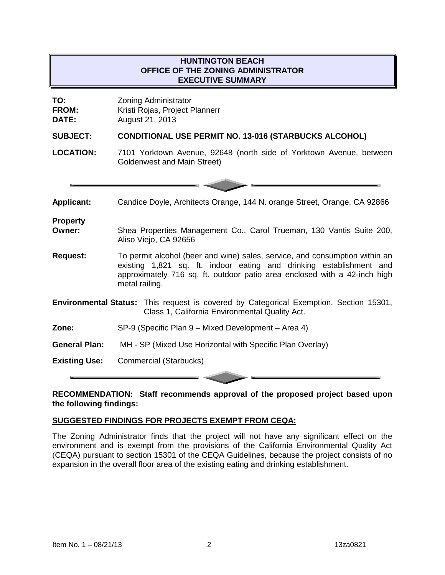# **HUNTINGTON BEACH OFFICE OF THE ZONING ADMINISTRATOR EXECUTIVE SUMMARY**

| TO:<br>FROM:<br><b>DATE:</b> | <b>Zoning Administrator</b><br>Kristi Rojas, Project Plannerr<br>August 21, 2013                                                                                                                                                                  |
|------------------------------|---------------------------------------------------------------------------------------------------------------------------------------------------------------------------------------------------------------------------------------------------|
| <b>SUBJECT:</b>              | <b>CONDITIONAL USE PERMIT NO. 13-016 (STARBUCKS ALCOHOL)</b>                                                                                                                                                                                      |
| <b>LOCATION:</b>             | 7101 Yorktown Avenue, 92648 (north side of Yorktown Avenue, between<br>Goldenwest and Main Street)                                                                                                                                                |
|                              |                                                                                                                                                                                                                                                   |
| <b>Applicant:</b>            | Candice Doyle, Architects Orange, 144 N. orange Street, Orange, CA 92866                                                                                                                                                                          |
| <b>Property</b>              |                                                                                                                                                                                                                                                   |
| Owner:                       | Shea Properties Management Co., Carol Trueman, 130 Vantis Suite 200,<br>Aliso Viejo, CA 92656                                                                                                                                                     |
| <b>Request:</b>              | To permit alcohol (beer and wine) sales, service, and consumption within an<br>existing 1,821 sq. ft. indoor eating and drinking establishment and<br>approximately 716 sq. ft. outdoor patio area enclosed with a 42-inch high<br>metal railing. |
|                              | <b>Environmental Status:</b> This request is covered by Categorical Exemption, Section 15301,<br>Class 1, California Environmental Quality Act.                                                                                                   |
| Zone:                        | SP-9 (Specific Plan 9 – Mixed Development – Area 4)                                                                                                                                                                                               |
| <b>General Plan:</b>         | MH - SP (Mixed Use Horizontal with Specific Plan Overlay)                                                                                                                                                                                         |
| <b>Existing Use:</b>         | <b>Commercial (Starbucks)</b>                                                                                                                                                                                                                     |

**RECOMMENDATION: Staff recommends approval of the proposed project based upon the following findings:**

#### **SUGGESTED FINDINGS FOR PROJECTS EXEMPT FROM CEQA:**

The Zoning Administrator finds that the project will not have any significant effect on the environment and is exempt from the provisions of the California Environmental Quality Act (CEQA) pursuant to section 15301 of the CEQA Guidelines, because the project consists of no expansion in the overall floor area of the existing eating and drinking establishment.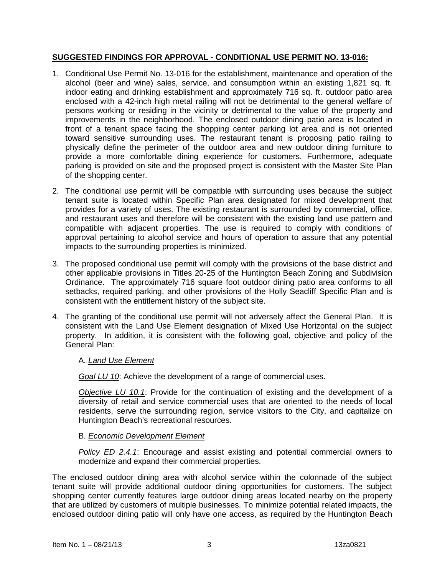## **SUGGESTED FINDINGS FOR APPROVAL - CONDITIONAL USE PERMIT NO. 13-016:**

- 1. Conditional Use Permit No. 13-016 for the establishment, maintenance and operation of the alcohol (beer and wine) sales, service, and consumption within an existing 1,821 sq. ft. indoor eating and drinking establishment and approximately 716 sq. ft. outdoor patio area enclosed with a 42-inch high metal railing will not be detrimental to the general welfare of persons working or residing in the vicinity or detrimental to the value of the property and improvements in the neighborhood. The enclosed outdoor dining patio area is located in front of a tenant space facing the shopping center parking lot area and is not oriented toward sensitive surrounding uses. The restaurant tenant is proposing patio railing to physically define the perimeter of the outdoor area and new outdoor dining furniture to provide a more comfortable dining experience for customers. Furthermore, adequate parking is provided on site and the proposed project is consistent with the Master Site Plan of the shopping center.
- 2. The conditional use permit will be compatible with surrounding uses because the subject tenant suite is located within Specific Plan area designated for mixed development that provides for a variety of uses. The existing restaurant is surrounded by commercial, office, and restaurant uses and therefore will be consistent with the existing land use pattern and compatible with adjacent properties. The use is required to comply with conditions of approval pertaining to alcohol service and hours of operation to assure that any potential impacts to the surrounding properties is minimized.
- 3. The proposed conditional use permit will comply with the provisions of the base district and other applicable provisions in Titles 20-25 of the Huntington Beach Zoning and Subdivision Ordinance. The approximately 716 square foot outdoor dining patio area conforms to all setbacks, required parking, and other provisions of the Holly Seacliff Specific Plan and is consistent with the entitlement history of the subject site.
- 4. The granting of the conditional use permit will not adversely affect the General Plan. It is consistent with the Land Use Element designation of Mixed Use Horizontal on the subject property. In addition, it is consistent with the following goal, objective and policy of the General Plan:

## A. *Land Use Element*

*Goal LU 10*: Achieve the development of a range of commercial uses.

*Objective LU 10.1*: Provide for the continuation of existing and the development of a diversity of retail and service commercial uses that are oriented to the needs of local residents, serve the surrounding region, service visitors to the City, and capitalize on Huntington Beach's recreational resources.

#### B. *Economic Development Element*

*Policy ED 2.4.1*: Encourage and assist existing and potential commercial owners to modernize and expand their commercial properties.

The enclosed outdoor dining area with alcohol service within the colonnade of the subject tenant suite will provide additional outdoor dining opportunities for customers. The subject shopping center currently features large outdoor dining areas located nearby on the property that are utilized by customers of multiple businesses. To minimize potential related impacts, the enclosed outdoor dining patio will only have one access, as required by the Huntington Beach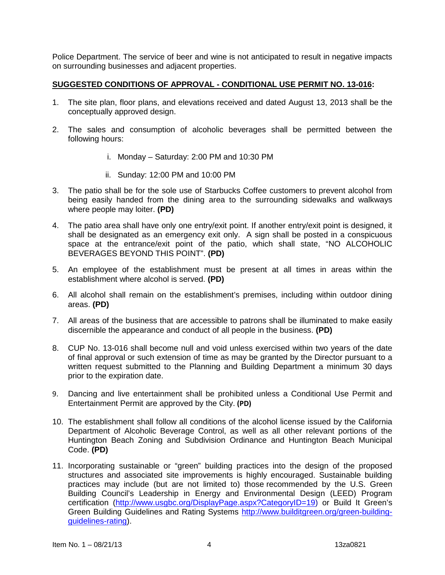Police Department. The service of beer and wine is not anticipated to result in negative impacts on surrounding businesses and adjacent properties.

#### **SUGGESTED CONDITIONS OF APPROVAL - CONDITIONAL USE PERMIT NO. 13-016:**

- 1. The site plan, floor plans, and elevations received and dated August 13, 2013 shall be the conceptually approved design.
- 2. The sales and consumption of alcoholic beverages shall be permitted between the following hours:
	- i. Monday Saturday: 2:00 PM and 10:30 PM
	- ii. Sunday: 12:00 PM and 10:00 PM
- 3. The patio shall be for the sole use of Starbucks Coffee customers to prevent alcohol from being easily handed from the dining area to the surrounding sidewalks and walkways where people may loiter. **(PD)**
- 4. The patio area shall have only one entry/exit point. If another entry/exit point is designed, it shall be designated as an emergency exit only. A sign shall be posted in a conspicuous space at the entrance/exit point of the patio, which shall state, "NO ALCOHOLIC BEVERAGES BEYOND THIS POINT". **(PD)**
- 5. An employee of the establishment must be present at all times in areas within the establishment where alcohol is served. **(PD)**
- 6. All alcohol shall remain on the establishment's premises, including within outdoor dining areas. **(PD)**
- 7. All areas of the business that are accessible to patrons shall be illuminated to make easily discernible the appearance and conduct of all people in the business. **(PD)**
- 8. CUP No. 13-016 shall become null and void unless exercised within two years of the date of final approval or such extension of time as may be granted by the Director pursuant to a written request submitted to the Planning and Building Department a minimum 30 days prior to the expiration date.
- 9. Dancing and live entertainment shall be prohibited unless a Conditional Use Permit and Entertainment Permit are approved by the City. **(PD)**
- 10. The establishment shall follow all conditions of the alcohol license issued by the California Department of Alcoholic Beverage Control, as well as all other relevant portions of the Huntington Beach Zoning and Subdivision Ordinance and Huntington Beach Municipal Code. **(PD)**
- 11. Incorporating sustainable or "green" building practices into the design of the proposed structures and associated site improvements is highly encouraged. Sustainable building practices may include (but are not limited to) those recommended by the U.S. Green Building Council's Leadership in Energy and Environmental Design (LEED) Program certification [\(http://www.usgbc.org/DisplayPage.aspx?CategoryID=19\)](http://www.usgbc.org/DisplayPage.aspx?CategoryID=19) or Build It Green's Green Building Guidelines and Rating Systems [http://www.builditgreen.org/green-building](http://www.builditgreen.org/green-building-guidelines-rating)[guidelines-rating\)](http://www.builditgreen.org/green-building-guidelines-rating).